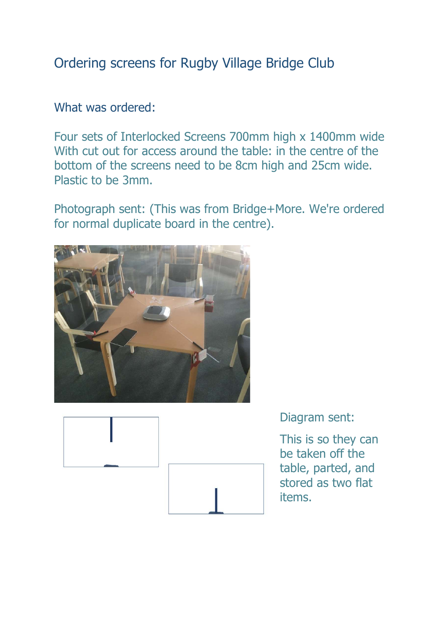# Ordering screens for Rugby Village Bridge Club

### What was ordered:

Four sets of Interlocked Screens 700mm high x 1400mm wide With cut out for access around the table: in the centre of the bottom of the screens need to be 8cm high and 25cm wide. Plastic to be 3mm.

Photograph sent: (This was from Bridge+More. We're ordered for normal duplicate board in the centre).





Diagram sent:

This is so they can be taken off the table, parted, and stored as two flat items.